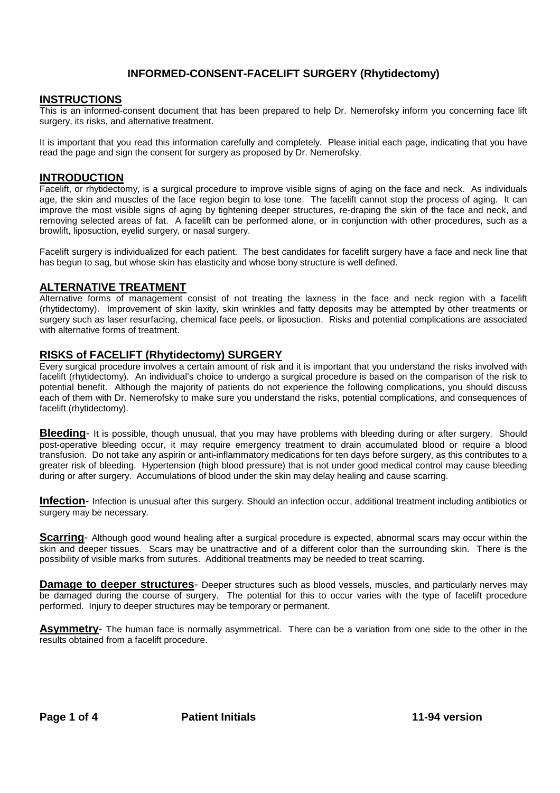# **INFORMED-CONSENT-FACELIFT SURGERY (Rhytidectomy)**

#### **INSTRUCTIONS**

This is an informed-consent document that has been prepared to help Dr. Nemerofsky inform you concerning face lift surgery, its risks, and alternative treatment.

It is important that you read this information carefully and completely. Please initial each page, indicating that you have read the page and sign the consent for surgery as proposed by Dr. Nemerofsky.

#### **INTRODUCTION**

Facelift, or rhytidectomy, is a surgical procedure to improve visible signs of aging on the face and neck. As individuals age, the skin and muscles of the face region begin to lose tone. The facelift cannot stop the process of aging. It can improve the most visible signs of aging by tightening deeper structures, re-draping the skin of the face and neck, and removing selected areas of fat. A facelift can be performed alone, or in conjunction with other procedures, such as a browlift, liposuction, eyelid surgery, or nasal surgery.

Facelift surgery is individualized for each patient. The best candidates for facelift surgery have a face and neck line that has begun to sag, but whose skin has elasticity and whose bony structure is well defined.

## **ALTERNATIVE TREATMENT**

Alternative forms of management consist of not treating the laxness in the face and neck region with a facelift (rhytidectomy). Improvement of skin laxity, skin wrinkles and fatty deposits may be attempted by other treatments or surgery such as laser resurfacing, chemical face peels, or liposuction. Risks and potential complications are associated with alternative forms of treatment.

## **RISKS of FACELIFT (Rhytidectomy) SURGERY**

Every surgical procedure involves a certain amount of risk and it is important that you understand the risks involved with facelift (rhytidectomy). An individual's choice to undergo a surgical procedure is based on the comparison of the risk to potential benefit. Although the majority of patients do not experience the following complications, you should discuss each of them with Dr. Nemerofsky to make sure you understand the risks, potential complications, and consequences of facelift (rhytidectomy).

**Bleeding**- It is possible, though unusual, that you may have problems with bleeding during or after surgery. Should post-operative bleeding occur, it may require emergency treatment to drain accumulated blood or require a blood transfusion. Do not take any aspirin or anti-inflammatory medications for ten days before surgery, as this contributes to a greater risk of bleeding. Hypertension (high blood pressure) that is not under good medical control may cause bleeding during or after surgery. Accumulations of blood under the skin may delay healing and cause scarring.

**Infection**- Infection is unusual after this surgery. Should an infection occur, additional treatment including antibiotics or surgery may be necessary.

**Scarring**- Although good wound healing after a surgical procedure is expected, abnormal scars may occur within the skin and deeper tissues. Scars may be unattractive and of a different color than the surrounding skin. There is the possibility of visible marks from sutures. Additional treatments may be needed to treat scarring.

**Damage to deeper structures-** Deeper structures such as blood vessels, muscles, and particularly nerves may be damaged during the course of surgery. The potential for this to occur varies with the type of facelift procedure performed. Injury to deeper structures may be temporary or permanent.

**Asymmetry**- The human face is normally asymmetrical. There can be a variation from one side to the other in the results obtained from a facelift procedure.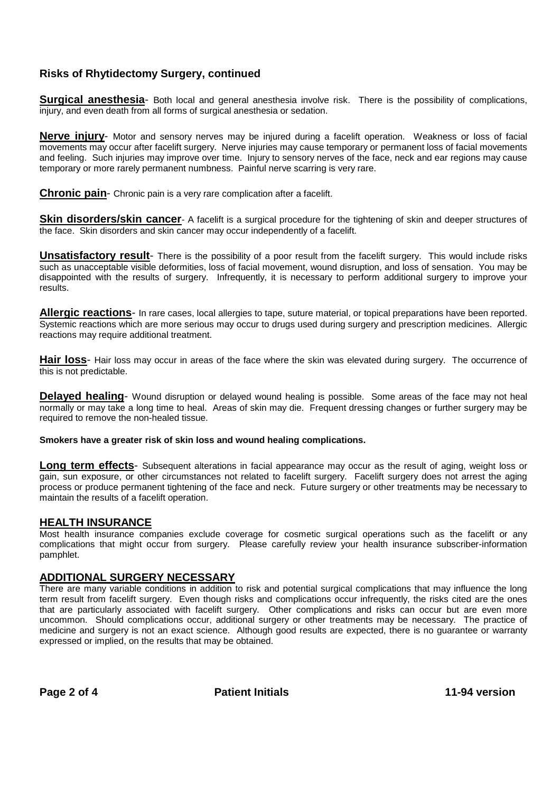# **Risks of Rhytidectomy Surgery, continued**

**Surgical anesthesia-** Both local and general anesthesia involve risk. There is the possibility of complications, injury, and even death from all forms of surgical anesthesia or sedation.

**Nerve injury**- Motor and sensory nerves may be injured during a facelift operation. Weakness or loss of facial movements may occur after facelift surgery. Nerve injuries may cause temporary or permanent loss of facial movements and feeling. Such injuries may improve over time. Injury to sensory nerves of the face, neck and ear regions may cause temporary or more rarely permanent numbness. Painful nerve scarring is very rare.

**Chronic pain**- Chronic pain is a very rare complication after a facelift.

**Skin disorders/skin cancer**- A facelift is a surgical procedure for the tightening of skin and deeper structures of the face. Skin disorders and skin cancer may occur independently of a facelift.

**Unsatisfactory result**- There is the possibility of a poor result from the facelift surgery. This would include risks such as unacceptable visible deformities, loss of facial movement, wound disruption, and loss of sensation. You may be disappointed with the results of surgery. Infrequently, it is necessary to perform additional surgery to improve your results.

**Allergic reactions**- In rare cases, local allergies to tape, suture material, or topical preparations have been reported. Systemic reactions which are more serious may occur to drugs used during surgery and prescription medicines. Allergic reactions may require additional treatment.

**Hair loss**- Hair loss may occur in areas of the face where the skin was elevated during surgery. The occurrence of this is not predictable.

**Delayed healing**- Wound disruption or delayed wound healing is possible. Some areas of the face may not heal normally or may take a long time to heal. Areas of skin may die. Frequent dressing changes or further surgery may be required to remove the non-healed tissue.

**Smokers have a greater risk of skin loss and wound healing complications.**

**Long term effects**- Subsequent alterations in facial appearance may occur as the result of aging, weight loss or gain, sun exposure, or other circumstances not related to facelift surgery. Facelift surgery does not arrest the aging process or produce permanent tightening of the face and neck. Future surgery or other treatments may be necessary to maintain the results of a facelift operation.

#### **HEALTH INSURANCE**

Most health insurance companies exclude coverage for cosmetic surgical operations such as the facelift or any complications that might occur from surgery. Please carefully review your health insurance subscriber-information pamphlet.

#### **ADDITIONAL SURGERY NECESSARY**

There are many variable conditions in addition to risk and potential surgical complications that may influence the long term result from facelift surgery. Even though risks and complications occur infrequently, the risks cited are the ones that are particularly associated with facelift surgery. Other complications and risks can occur but are even more uncommon. Should complications occur, additional surgery or other treatments may be necessary. The practice of medicine and surgery is not an exact science. Although good results are expected, there is no guarantee or warranty expressed or implied, on the results that may be obtained.

Page 2 of 4 **Patient Initials Patient Initials** 11-94 version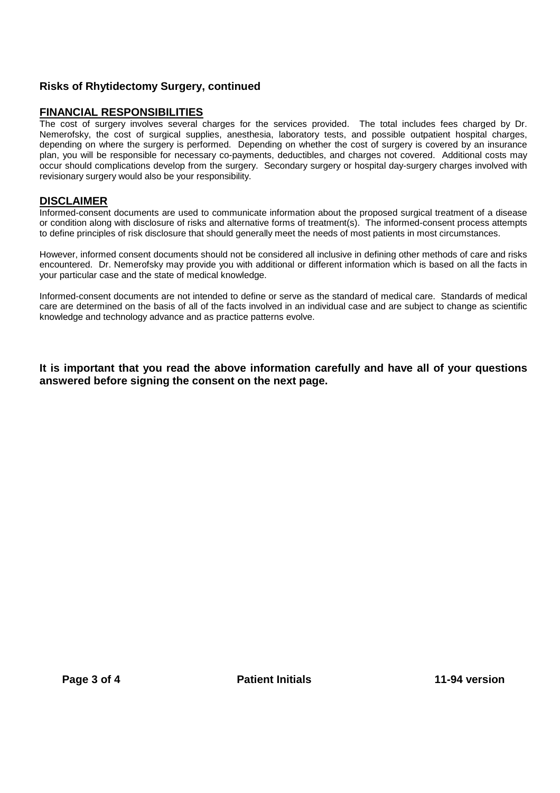# **Risks of Rhytidectomy Surgery, continued**

## **FINANCIAL RESPONSIBILITIES**

The cost of surgery involves several charges for the services provided. The total includes fees charged by Dr. Nemerofsky, the cost of surgical supplies, anesthesia, laboratory tests, and possible outpatient hospital charges, depending on where the surgery is performed. Depending on whether the cost of surgery is covered by an insurance plan, you will be responsible for necessary co-payments, deductibles, and charges not covered. Additional costs may occur should complications develop from the surgery. Secondary surgery or hospital day-surgery charges involved with revisionary surgery would also be your responsibility.

## **DISCLAIMER**

Informed-consent documents are used to communicate information about the proposed surgical treatment of a disease or condition along with disclosure of risks and alternative forms of treatment(s). The informed-consent process attempts to define principles of risk disclosure that should generally meet the needs of most patients in most circumstances.

However, informed consent documents should not be considered all inclusive in defining other methods of care and risks encountered. Dr. Nemerofsky may provide you with additional or different information which is based on all the facts in your particular case and the state of medical knowledge.

Informed-consent documents are not intended to define or serve as the standard of medical care. Standards of medical care are determined on the basis of all of the facts involved in an individual case and are subject to change as scientific knowledge and technology advance and as practice patterns evolve.

**It is important that you read the above information carefully and have all of your questions answered before signing the consent on the next page.**